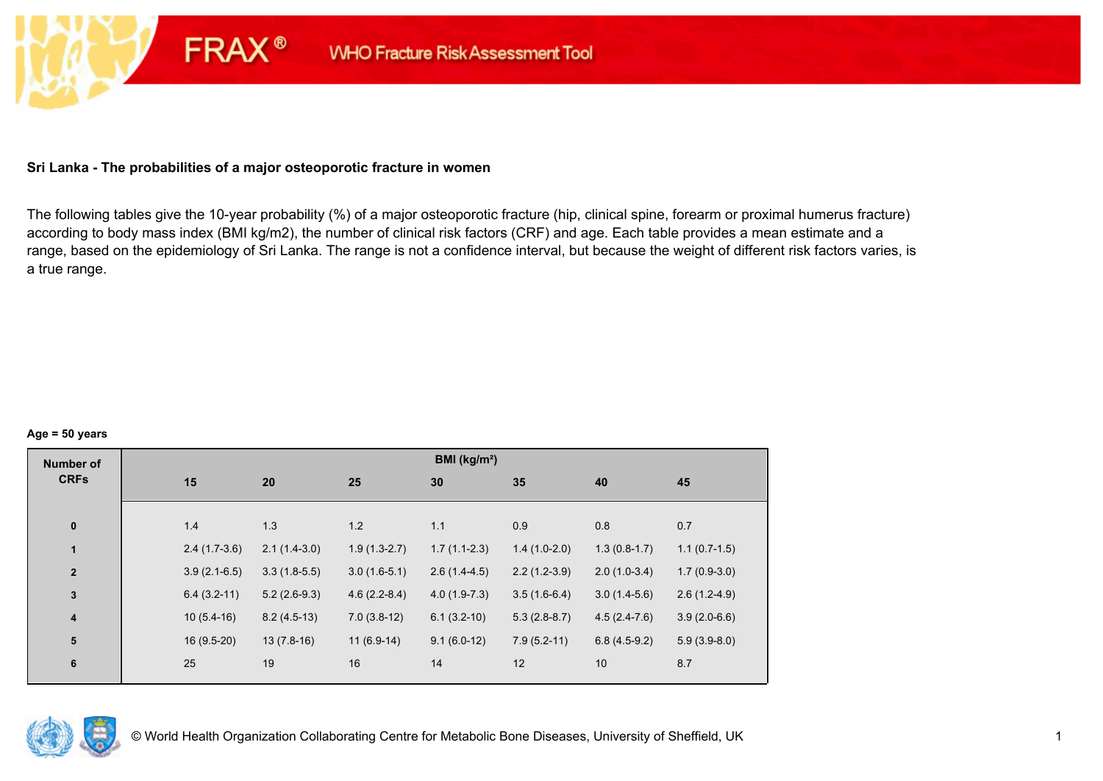## **Sri Lanka - The probabilities of a major osteoporotic fracture in women**

**FRAX®** 

The following tables give the 10-year probability (%) of a major osteoporotic fracture (hip, clinical spine, forearm or proximal humerus fracture) according to body mass index (BMI kg/m2), the number of clinical risk factors (CRF) and age. Each table provides a mean estimate and a range, based on the epidemiology of Sri Lanka. The range is not a confidence interval, but because the weight of different risk factors varies, is a true range.

#### **Age = 50 years**

| <b>Number of</b><br><b>CRFs</b> |                |                |                | BMI (kg/m <sup>2</sup> ) |                |                |                |
|---------------------------------|----------------|----------------|----------------|--------------------------|----------------|----------------|----------------|
|                                 | 15             | 20             | 25             | 30                       | 35             | 40             | 45             |
|                                 |                |                |                |                          |                |                |                |
| $\pmb{0}$                       | 1.4            | 1.3            | 1.2            | 1.1                      | 0.9            | 0.8            | 0.7            |
| 1                               | $2.4(1.7-3.6)$ | $2.1(1.4-3.0)$ | $1.9(1.3-2.7)$ | $1.7(1.1-2.3)$           | $1.4(1.0-2.0)$ | $1.3(0.8-1.7)$ | $1.1(0.7-1.5)$ |
| $\mathbf{2}$                    | $3.9(2.1-6.5)$ | $3.3(1.8-5.5)$ | $3.0(1.6-5.1)$ | $2.6(1.4-4.5)$           | $2.2(1.2-3.9)$ | $2.0(1.0-3.4)$ | $1.7(0.9-3.0)$ |
| $\mathbf 3$                     | $6.4(3.2-11)$  | $5.2(2.6-9.3)$ | $4.6(2.2-8.4)$ | $4.0(1.9-7.3)$           | $3.5(1.6-6.4)$ | $3.0(1.4-5.6)$ | $2.6(1.2-4.9)$ |
| $\overline{\mathbf{4}}$         | $10(5.4-16)$   | $8.2(4.5-13)$  | $7.0(3.8-12)$  | $6.1(3.2-10)$            | $5.3(2.8-8.7)$ | $4.5(2.4-7.6)$ | $3.9(2.0-6.6)$ |
| ${\bf 5}$                       | $16(9.5-20)$   | $13(7.8-16)$   | $11(6.9-14)$   | $9.1(6.0-12)$            | $7.9(5.2-11)$  | $6.8(4.5-9.2)$ | $5.9(3.9-8.0)$ |
| $\bf 6$                         | 25             | 19             | 16             | 14                       | 12             | 10             | 8.7            |
|                                 |                |                |                |                          |                |                |                |

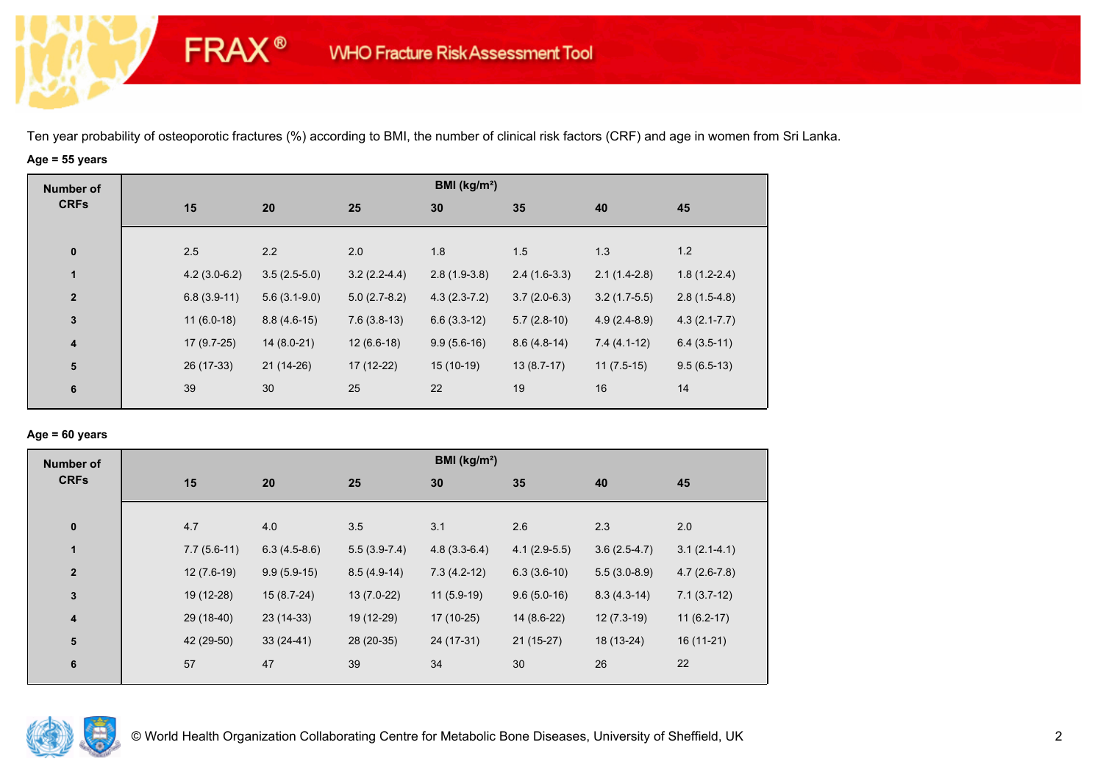# **Age = 55 years**

**FRAX®** 

| <b>Number of</b>        |     |                |                |                | BMI ( $kg/m2$ ) |                |                |                  |
|-------------------------|-----|----------------|----------------|----------------|-----------------|----------------|----------------|------------------|
| <b>CRFs</b>             | 15  | 20             |                | 25             | 30              | 35             | 40             | 45               |
|                         |     |                |                |                |                 |                |                |                  |
| $\bf{0}$                | 2.5 | 2.2            |                | 2.0            | 1.8             | 1.5            | 1.3            | 1.2              |
| $\mathbf{1}$            |     | $4.2(3.0-6.2)$ | $3.5(2.5-5.0)$ | $3.2(2.2-4.4)$ | $2.8(1.9-3.8)$  | $2.4(1.6-3.3)$ | $2.1(1.4-2.8)$ | $1.8(1.2-2.4)$   |
| $\overline{\mathbf{2}}$ |     | $6.8(3.9-11)$  | $5.6(3.1-9.0)$ | $5.0(2.7-8.2)$ | $4.3(2.3-7.2)$  | $3.7(2.0-6.3)$ | $3.2(1.7-5.5)$ | $2.8(1.5-4.8)$   |
| $\mathbf{3}$            |     | $11(6.0-18)$   | $8.8(4.6-15)$  | $7.6(3.8-13)$  | $6.6(3.3-12)$   | $5.7(2.8-10)$  | $4.9(2.4-8.9)$ | $4.3(2.1 - 7.7)$ |
| 4                       |     | $17(9.7-25)$   | $14(8.0-21)$   | $12(6.6-18)$   | $9.9(5.6-16)$   | $8.6(4.8-14)$  | $7.4(4.1-12)$  | $6.4(3.5-11)$    |
| $\overline{\mathbf{5}}$ |     | 26 (17-33)     | $21(14-26)$    | 17 (12-22)     | $15(10-19)$     | $13(8.7-17)$   | $11(7.5-15)$   | $9.5(6.5-13)$    |
| 6                       | 39  | 30             |                | 25             | 22              | 19             | 16             | 14               |
|                         |     |                |                |                |                 |                |                |                  |

## **Age = 60 years**

| <b>Number of</b><br><b>CRFs</b> |    |               |                |                | BMI (kg/m <sup>2</sup> ) |                |                |                |
|---------------------------------|----|---------------|----------------|----------------|--------------------------|----------------|----------------|----------------|
|                                 | 15 |               | 20             | 25             | 30                       | 35             | 40             | 45             |
| $\pmb{0}$                       |    | 4.7           | 4.0            | 3.5            | 3.1                      | 2.6            | 2.3            | 2.0            |
| $\mathbf{1}$                    |    | $7.7(5.6-11)$ | $6.3(4.5-8.6)$ | $5.5(3.9-7.4)$ | $4.8(3.3-6.4)$           | $4.1(2.9-5.5)$ | $3.6(2.5-4.7)$ | $3.1(2.1-4.1)$ |
| $\mathbf{2}$                    |    | $12(7.6-19)$  | $9.9(5.9-15)$  | $8.5(4.9-14)$  | $7.3(4.2-12)$            | $6.3(3.6-10)$  | $5.5(3.0-8.9)$ | $4.7(2.6-7.8)$ |
| $\mathbf 3$                     |    | 19 (12-28)    | $15(8.7-24)$   | $13(7.0-22)$   | $11(5.9-19)$             | $9.6(5.0-16)$  | $8.3(4.3-14)$  | $7.1(3.7-12)$  |
| 4                               |    | 29 (18-40)    | $23(14-33)$    | 19 (12-29)     | $17(10-25)$              | 14 (8.6-22)    | $12(7.3-19)$   | $11(6.2-17)$   |
| ${\bf 5}$                       |    | 42 (29-50)    | $33(24-41)$    | 28 (20-35)     | 24 (17-31)               | $21(15-27)$    | 18 (13-24)     | $16(11-21)$    |
| 6                               | 57 |               | 47             | 39             | 34                       | 30             | 26             | 22             |

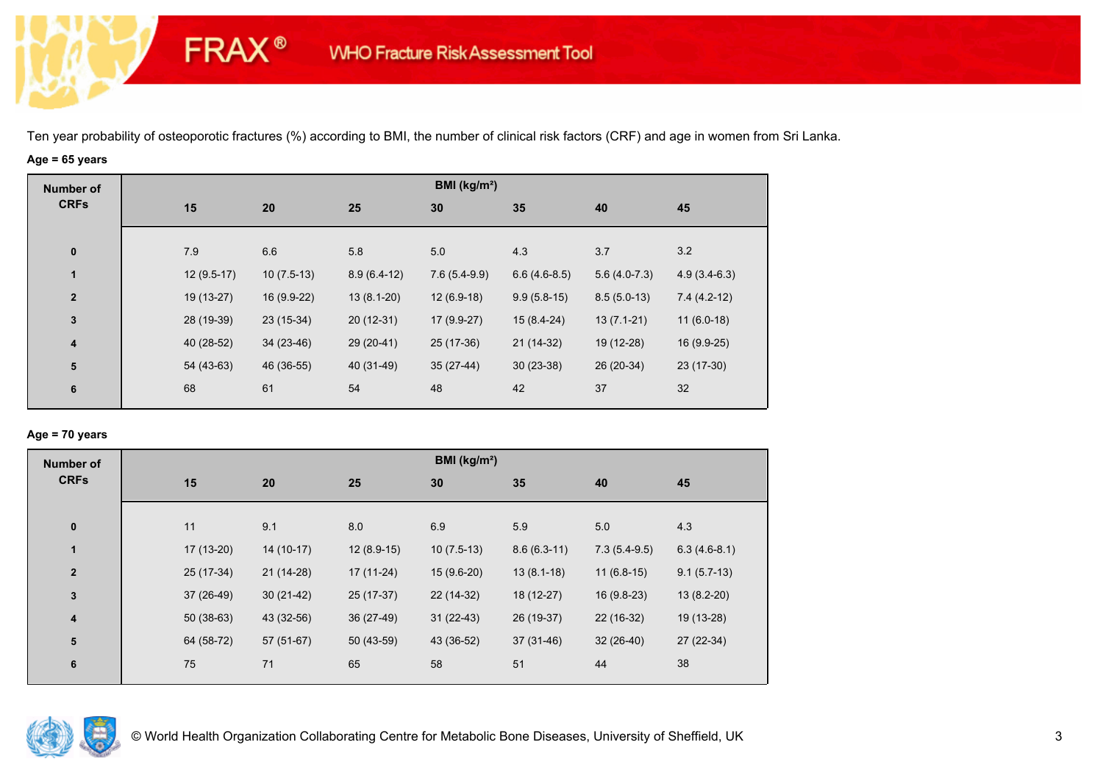# **Age = 65 years**

**FRAX®** 

| <b>Number of</b> |              |              |               | BMI (kg/m <sup>2</sup> ) |                |                |                |
|------------------|--------------|--------------|---------------|--------------------------|----------------|----------------|----------------|
| <b>CRFs</b>      | 15           | 20           | 25            | 30                       | 35             | 40             | 45             |
| $\bf{0}$         | 7.9          | 6.6          | 5.8           | 5.0                      | 4.3            | 3.7            | 3.2            |
| 1                | $12(9.5-17)$ | $10(7.5-13)$ | $8.9(6.4-12)$ | $7.6(5.4-9.9)$           | $6.6(4.6-8.5)$ | $5.6(4.0-7.3)$ | $4.9(3.4-6.3)$ |
| $\mathbf{2}$     | 19 (13-27)   | 16 (9.9-22)  | $13(8.1-20)$  | $12(6.9-18)$             | $9.9(5.8-15)$  | $8.5(5.0-13)$  | $7.4(4.2-12)$  |
| 3                | 28 (19-39)   | $23(15-34)$  | $20(12-31)$   | $17(9.9-27)$             | $15(8.4-24)$   | $13(7.1-21)$   | $11(6.0-18)$   |
| 4                | 40 (28-52)   | $34(23-46)$  | 29 (20-41)    | 25 (17-36)               | $21(14-32)$    | 19 (12-28)     | $16(9.9-25)$   |
| ${\bf 5}$        | 54 (43-63)   | 46 (36-55)   | 40 (31-49)    | $35(27-44)$              | $30(23-38)$    | 26 (20-34)     | 23 (17-30)     |
| 6                | 68           | 61           | 54            | 48                       | 42             | 37             | 32             |

## **Age = 70 years**

| <b>Number of</b> |             |             |              | BMI (kg/m <sup>2</sup> ) |               |                |                |
|------------------|-------------|-------------|--------------|--------------------------|---------------|----------------|----------------|
| <b>CRFs</b>      | 15          | 20          | 25           | 30                       | 35            | 40             | 45             |
|                  |             |             |              |                          |               |                |                |
| $\pmb{0}$        | 11          | 9.1         | 8.0          | 6.9                      | 5.9           | 5.0            | 4.3            |
| 1                | 17 (13-20)  | $14(10-17)$ | $12(8.9-15)$ | $10(7.5-13)$             | $8.6(6.3-11)$ | $7.3(5.4-9.5)$ | $6.3(4.6-8.1)$ |
| $\mathbf{2}$     | 25 (17-34)  | $21(14-28)$ | $17(11-24)$  | $15(9.6-20)$             | $13(8.1-18)$  | $11(6.8-15)$   | $9.1(5.7-13)$  |
| 3                | 37 (26-49)  | $30(21-42)$ | 25 (17-37)   | 22 (14-32)               | 18 (12-27)    | $16(9.8-23)$   | $13(8.2-20)$   |
| 4                | $50(38-63)$ | 43 (32-56)  | 36 (27-49)   | $31(22-43)$              | 26 (19-37)    | 22 (16-32)     | 19 (13-28)     |
| ${\bf 5}$        | 64 (58-72)  | $57(51-67)$ | $50(43-59)$  | 43 (36-52)               | $37(31-46)$   | $32(26-40)$    | 27 (22-34)     |
| 6                | 75          | 71          | 65           | 58                       | 51            | 44             | 38             |

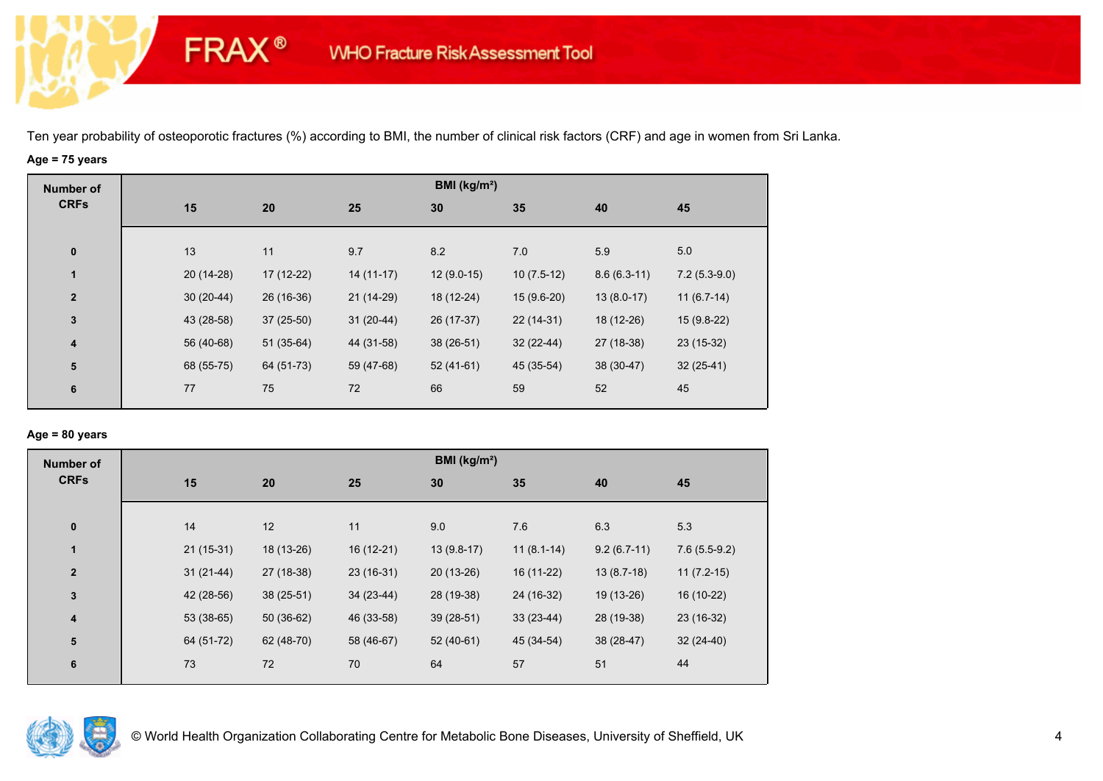# **Age = 75 years**

**FRAX®** 

| <b>Number of</b>        |             |             |             | BMI ( $kg/m2$ ) |              |               |                |
|-------------------------|-------------|-------------|-------------|-----------------|--------------|---------------|----------------|
| <b>CRFs</b>             | 15          | 20          | 25          | 30              | 35           | 40            | 45             |
|                         |             |             |             |                 |              |               |                |
| $\bf{0}$                | 13          | 11          | 9.7         | 8.2             | 7.0          | 5.9           | 5.0            |
| $\mathbf{1}$            | 20 (14-28)  | 17 (12-22)  | $14(11-17)$ | $12(9.0-15)$    | $10(7.5-12)$ | $8.6(6.3-11)$ | $7.2(5.3-9.0)$ |
| $\overline{\mathbf{2}}$ | $30(20-44)$ | 26 (16-36)  | 21 (14-29)  | 18 (12-24)      | $15(9.6-20)$ | $13(8.0-17)$  | $11(6.7-14)$   |
| $\mathbf{3}$            | 43 (28-58)  | $37(25-50)$ | $31(20-44)$ | 26 (17-37)      | $22(14-31)$  | 18 (12-26)    | $15(9.8-22)$   |
| $\overline{\mathbf{4}}$ | 56 (40-68)  | $51(35-64)$ | 44 (31-58)  | $38(26-51)$     | $32(22-44)$  | 27 (18-38)    | $23(15-32)$    |
| ${\bf 5}$               | 68 (55-75)  | 64 (51-73)  | 59 (47-68)  | $52(41-61)$     | 45 (35-54)   | 38 (30-47)    | $32(25-41)$    |
| 6                       | 77          | 75          | 72          | 66              | 59           | 52            | 45             |
|                         |             |             |             |                 |              |               |                |

#### **Age = 80 years**

| <b>Number of</b>        |             |             |             | BMI (kg/m <sup>2</sup> ) |              |               |                |
|-------------------------|-------------|-------------|-------------|--------------------------|--------------|---------------|----------------|
| <b>CRFs</b>             | 15          | 20          | 25          | 30                       | 35           | 40            | 45             |
| $\pmb{0}$               | 14          | 12          | 11          | 9.0                      | 7.6          | 6.3           | 5.3            |
| 1                       | $21(15-31)$ | 18 (13-26)  | 16 (12-21)  | $13(9.8-17)$             | $11(8.1-14)$ | $9.2(6.7-11)$ | $7.6(5.5-9.2)$ |
| $\overline{2}$          | $31(21-44)$ | 27 (18-38)  | $23(16-31)$ | $20(13-26)$              | 16 (11-22)   | $13(8.7-18)$  | $11(7.2-15)$   |
| 3                       | 42 (28-56)  | $38(25-51)$ | $34(23-44)$ | 28 (19-38)               | 24 (16-32)   | 19 (13-26)    | 16 (10-22)     |
| $\overline{\mathbf{4}}$ | $53(38-65)$ | $50(36-62)$ | 46 (33-58)  | $39(28-51)$              | $33(23-44)$  | 28 (19-38)    | 23 (16-32)     |
| 5                       | 64 (51-72)  | 62 (48-70)  | 58 (46-67)  | $52(40-61)$              | 45 (34-54)   | 38 (28-47)    | $32(24-40)$    |
| 6                       | 73          | 72          | 70          | 64                       | 57           | 51            | 44             |